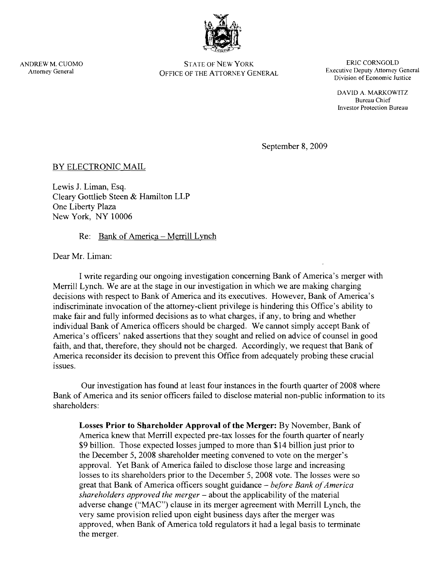

ANDREW M. CUOMO STATE OF NEW YORK. ERlC CORNGOLD OFFICE OF THE ATTORNEY GENERAL

Division of Economic Justice

DAVID A. MARKOWITZ Bureau Chief Investor Protection Bureau

September 8, 2009

# BY ELECTRONIC MAIL

Lewis 1. Liman, Esq. Cleary Gottlieb Steen & Hamilton LLP One Liberty Plaza New York, NY 10006

## Re: Bank of America - Merrill Lynch

Dear Mr. Liman:

I write regarding our ongoing investigation concerning Bank of America's merger with Merrill Lynch. We are at the stage in our investigation in which we are making charging decisions with respect to Bank of America and its executives. However, Bank of America's indiscriminate invocation of the attorney-client privilege is hindering this Office's ability to make fair and fully informed decisions as to what charges, if any, to bring and whether individual Bank of America officers should be charged. We cannot simply accept Bank of America's officers' naked assertions that they sought and relied on advice of counsel in good faith, and that, therefore, they should not be charged. Accordingly, we request that Bank of America reconsider its decision to prevent this Office from adequately probing these crucial issues.

Our investigation has found at least four instances in the fourth quarter of 2008 where Bank of America and its senior officers failed to disclose material non-public information to its shareholders:

Losses **Prior to Shareholder Approval of the Merger:** By November, Bank of America knew that Merrill expected pre-tax losses for the fourth quarter of nearly \$9 billion. Those expected losses jumped to more than \$14 billion just prior to the December 5, 2008 shareholder meeting convened to vote on the merger's approval. Yet Bank of America failed to disclose those large and increasing losses to its shareholders prior to the December 5, 2008 vote. The losses were so great that Bank of America officers sought guidance – *before Bank of America shareholders approved the merger* - about the applicability of the material adverse change ("MAC") clause in its merger agreement with Merrill Lynch, the very same provision relied upon eight business days after the merger was approved, when Bank of America told regulators it had a legal basis to terminate the merger.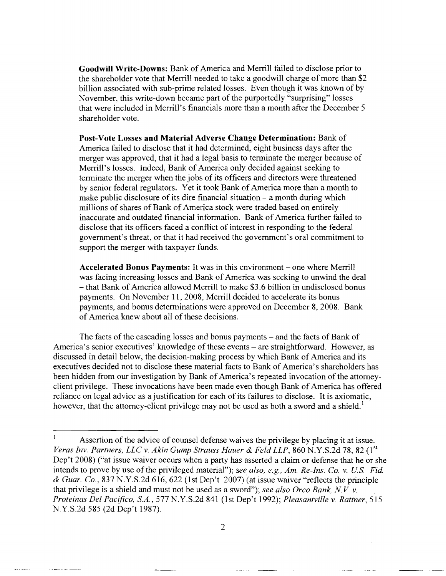**Goodwill Write-Downs:** Bank of America and Merrill failed to disclose prior to the shareholder vote that Merrill needed to take a goodwill charge of more than \$2 billion associated with sub-prime related losses. Even though it was known of by November, this write-down became part of the purportedly "surprising" losses that were included in Merrill's financials more than a month after the December 5 shareholder vote.

**Post-Vote** Losses **and Material Adverse Change Determination:** Bank of America failed to disclose that it had determined, eight business days after the merger was approved, that it had a legal basis to terminate the merger because of Merrill's losses. Indeed, Bank of America only decided against seeking to terminate the merger when the jobs of its officers and directors were threatened by senior federal regulators. Yet it took Bank of America more than a month to make public disclosure of its dire financial situation  $-$  a month during which millions of shares of Bank of America stock were traded based on entirely inaccurate and outdated financial information. Bank of America further failed to disclose that its officers faced a conflict of interest in responding to the federal government's threat, or that it had received the government's oral commitment to support the merger with taxpayer funds.

Accelerated Bonus Payments: It was in this environment – one where Merrill was facing increasing losses and Bank of America was seeking to unwind the deal - that Bank of America allowed Merrill to make \$3.6 billion in undisclosed bonus payments. On November **11,** 2008, Merrill decided to accelerate its bonus payments, and bonus determinations were approved on December 8, 2008. Bank of America knew about all of these decisions.

The facts of the cascading losses and bonus payments – and the facts of Bank of America's senior executives' knowledge of these events – are straightforward. However, as discussed in detail below, the decision-making process by which Bank of America and its executives decided not to disclose these material facts to Bank of America's shareholders has been hidden from our investigation by Bank of America's repeated invocation of the attorneyclient privilege. These invocations have been made even though Bank of America has offered reliance on legal advice as a justification for each of its failures to disclose. It is axiomatic, however, that the attorney-client privilege may not be used as both a sword and a shield.<sup>1</sup>

and again, and a

 $\alpha=1.5$ 

.<br>Altres de compo

 $\bf{l}$ Assertion of the advice of counsel defense waives the privilege by placing it at issue. *Veras Inv. Partners, LLC v. Akin Gump Strauss Hauer & Feld LLP, 860 N.Y.S.2d 78, 82* (1st Dep't 2008) ("at issue waiver occurs when a party has asserted a claim or defense that he or she intends to prove by use of the privileged material"); *see also, e.g., Am. Re-Ins. Co. v. U.S. Fid.* & *Guar. Co.,* 837 N.Y.S.2d 616,622 (1st Dep't 2007) (at issue waiver "reflects the principle that privilege is a shield and must not be used as a sword"); *see also Orca Bank, N V* v. *Proteinas Del Pacifico, S.A.,* 577 N.Y.S.2d 841 (1st Dep't 1992); *Pleasantville* v. *Rattner, 515*  N.Y.S.2d 585 (2d Dep't 1987).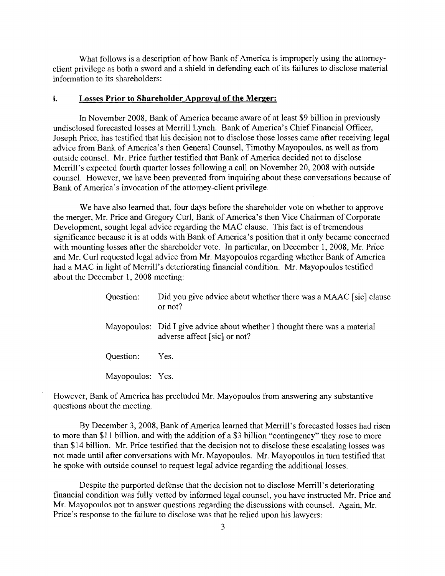What follows is a description of how Bank of America is improperly using the attorneyclient privilege as both a sword and a shield in defending each of its failures to disclose material information to its shareholders:

#### i. Losses **Prior to Shareholder Approval of the Merger:**

In November 2008, Bank of America became aware of at least \$9 billion in previously undisclosed forecasted losses at Merrill Lynch. Bank of America's Chief Financial Officer, Joseph Price, has testified that his decision not to disclose those losses came after receiving legal advice from Bank of America's then General Counsel, Timothy Mayopoulos, as well as from outside counsel. Mr. Price further testified that Bank of America decided not to disclose Merrill's expected fourth quarter losses following a call on November 20, 2008 with outside counsel. However, we have been prevented from inquiring about these conversations because of Bank of America's invocation of the attorney-client privilege.

We have also learned that, four days before the shareholder vote on whether to approve the merger, Mr. Price and Gregory Curl, Bank of America's then Vice Chairman of Corporate Development, sought legal advice regarding the MAC clause. This fact is of tremendous significance because it is at odds with Bank of America's position that it only became concerned with mounting losses after the shareholder vote. In particular, on December 1, 2008, Mr. Price and Mr. Curl requested legal advice from Mr. Mayopoulos regarding whether Bank of America had a MAC in light of Merrill's deteriorating financial condition. Mr. Mayopoulos testified about the December 1,2008 meeting:

| Question: | Did you give advice about whether there was a MAAC [sic] clause<br>or not?                                 |
|-----------|------------------------------------------------------------------------------------------------------------|
|           | Mayopoulos: Did I give advice about whether I thought there was a material<br>adverse affect [sic] or not? |
| Question: | Yes.                                                                                                       |

Mayopoulos: Yes.

However, Bank of America has precluded Mr. Mayopoulos from answering any substantive questions about the meeting.

By December 3,2008, Bank of America learned that Merrill's forecasted losses had risen to more than \$11 billion, and with the addition of a \$3 billion "contingency" they rose to more than \$14 billion. Mr. Price testified that the decision not to disclose these escalating losses was not made until after conversations with Mr. Mayopoulos. Mr. Mayopoulos in tum testified that he spoke with outside counsel to request legal advice regarding the additional losses.

Despite the purported defense that the decision not to disclose Merrill's deteriorating financial condition was fully vetted by informed legal counsel, you have instructed Mr. Price and Mr. Mayopoulos not to answer questions regarding the discussions with counsel. Again, Mr. Price's response to the failure to disclose was that he relied upon his lawyers: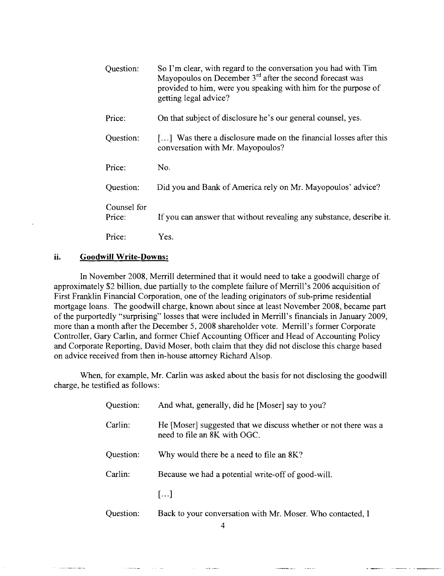| Question:             | So I'm clear, with regard to the conversation you had with Tim<br>Mayopoulos on December $3^{rd}$ after the second forecast was<br>provided to him, were you speaking with him for the purpose of<br>getting legal advice? |
|-----------------------|----------------------------------------------------------------------------------------------------------------------------------------------------------------------------------------------------------------------------|
| Price:                | On that subject of disclosure he's our general counsel, yes.                                                                                                                                                               |
| Question:             | $\left[\dots\right]$ Was there a disclosure made on the financial losses after this<br>conversation with Mr. Mayopoulos?                                                                                                   |
| Price:                | No.                                                                                                                                                                                                                        |
| Question:             | Did you and Bank of America rely on Mr. Mayopoulos' advice?                                                                                                                                                                |
| Counsel for<br>Price: | If you can answer that without revealing any substance, describe it.                                                                                                                                                       |
| Price:                | Yes.                                                                                                                                                                                                                       |

### **ii. Goodwill Write-Downs:**

In November 2008, Merrill determined that it would need to take a goodwill charge of approximately \$2 billion, due partially to the complete failure of Merrill's 2006 acquisition of First Franklin Financial Corporation, one of the leading originators of sub-prime residential mortgage loans. The goodwill charge, known about since at least November 2008, became part of the purportedly "surprising" losses that were included in Merrill's financials in January 2009, more than a month after the December 5, 2008 shareholder vote. Merrill's former Corporate Controller, Gary Carlin, and former Chief Accounting Officer and Head of Accounting Policy and Corporate Reporting, David Moser, both claim that they did not disclose this charge based on advice received from then in-house attorney Richard Alsop.

When, for example, Mr. Carlin was asked about the basis for not disclosing the goodwill charge, he testified as follows:

| Question: | And what, generally, did he [Moser] say to you?                                                 |
|-----------|-------------------------------------------------------------------------------------------------|
| Carlin:   | He [Moser] suggested that we discuss whether or not there was a<br>need to file an 8K with OGC. |
| Question: | Why would there be a need to file an 8K?                                                        |
| Carlin:   | Because we had a potential write-off of good-will.                                              |
|           | []                                                                                              |
| Question: | Back to your conversation with Mr. Moser. Who contacted, I                                      |

4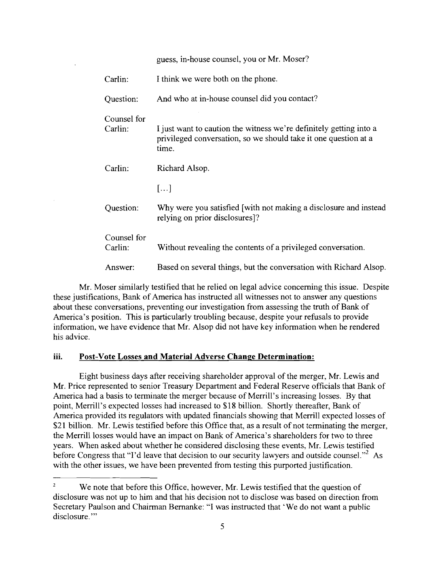|                        | guess, in-house counsel, you or Mr. Moser?                                                                                                     |
|------------------------|------------------------------------------------------------------------------------------------------------------------------------------------|
| Carlin:                | I think we were both on the phone.                                                                                                             |
| Question:              | And who at in-house counsel did you contact?                                                                                                   |
| Counsel for<br>Carlin: | I just want to caution the witness we're definitely getting into a<br>privileged conversation, so we should take it one question at a<br>time. |
| Carlin:                | Richard Alsop.                                                                                                                                 |
|                        | $[\dots]$                                                                                                                                      |
| Question:              | Why were you satisfied [with not making a disclosure and instead]<br>relying on prior disclosures]?                                            |
| Counsel for<br>Carlin: | Without revealing the contents of a privileged conversation.                                                                                   |
| Answer:                | Based on several things, but the conversation with Richard Alsop.                                                                              |

Mr. Moser similarly testified that he relied on legal advice concerning this issue. Despite these justifications, Bank of America has instructed all witnesses not to answer any questions about these conversations, preventing our investigation from assessing the truth of Bank of America's position. This is particularly troubling because, despite your refusals to provide information, we have evidence that Mr. Alsop did not have key information when he rendered his advice.

## **1II. Post-Vote** Losses **and Material Adverse Change Determination:**

Eight business days after receiving shareholder approval of the merger, Mr. Lewis and Mr. Price represented to senior Treasury Department and Federal Reserve officials that Bank of America had a basis to terminate the merger because of Merrill's increasing losses. By that point, Merrill's expected losses had increased to \$18 billion. Shortly thereafter, Bank of America provided its regulators with updated financials showing that Merrill expected losses of \$21 billion. Mr. Lewis testified before this Office that, as a result of not terminating the merger, the Merrill losses would have an impact on Bank of America's shareholders for two to three years. When asked about whether he considered disclosing these events, Mr. Lewis testified before Congress that "I'd leave that decision to our security lawyers and outside counsel."<sup>2</sup> As with the other issues, we have been prevented from testing this purported justification.

 $\overline{2}$ We note that before this Office, however, Mr. Lewis testified that the question of disclosure was not up to him and that his decision not to disclose was based on direction from Secretary Paulson and Chairman Bernanke: "I was instructed that 'We do not want a public disclosure."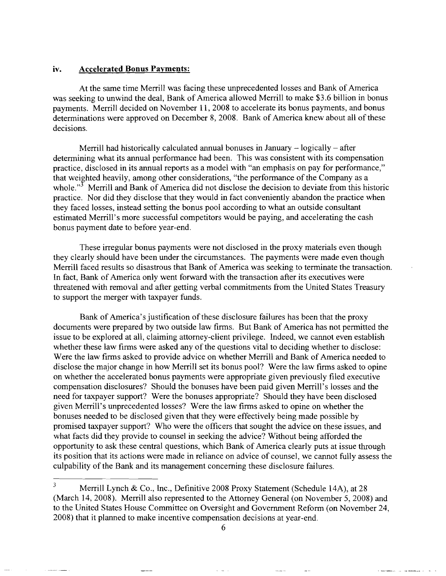#### iv. Accelerated Bonus Payments:

At the same time Merrill was facing these unprecedented losses and Bank of America was seeking to unwind the deal, Bank of America allowed Merrill to make \$3.6 billion in bonus payments. Merrill decided on November 11, 2008 to accelerate its bonus payments, and bonus determinations were approved on December 8, 2008. Bank of America knew about all of these decisions.

Merrill had historically calculated annual bonuses in January  $-$  logically  $-$  after determining what its annual performance had been. This was consistent with its compensation practice, disclosed in its annual reports as a model with "an emphasis on pay for performance," that weighted heavily, among other considerations, "the performance of the Company as a whole."<sup> $3$ </sup> Merrill and Bank of America did not disclose the decision to deviate from this historic practice. Nor did they disclose that they would in fact conveniently abandon the practice when they faced losses, instead setting the bonus pool according to what an outside consultant estimated Merrill's more successful competitors would be paying, and accelerating the cash bonus payment date to before year-end.

These irregular bonus payments were not disclosed in the proxy materials even though they clearly should have been under the circumstances. The payments were made even though Merrill faced results so disastrous that Bank of America was seeking to terminate the transaction. In fact, Bank of America only went forward with the transaction after its executives were threatened with removal and after getting verbal commitments from the United States Treasury to support the merger with taxpayer funds.

Bank of America's justification of these disclosure failures has been that the proxy documents were prepared by two outside law firms. But Bank of America has not permitted the issue to be explored at all, claiming attorney-client privilege. Indeed, we cannot even establish whether these law firms were asked any of the questions vital to deciding whether to disclose: Were the law firms asked to provide advice on whether Merrill and Bank of America needed to disclose the major change in how Merrill set its bonus pool? Were the law firms asked to opine on whether the accelerated bonus payments were appropriate given previously filed executive compensation disclosures? Should the bonuses have been paid given Merrill's losses and the need for taxpayer support? Were the bonuses appropriate? Should they have been disclosed given Merrill's unprecedented losses? Were the law firms asked to opine on whether the bonuses needed to be disclosed given that they were effectively being made possible by promised taxpayer support? Who were the officers that sought the advice on these issues, and what facts did they provide to counsel in seeking the advice? Without being afforded the opportunity to ask these central questions, which Bank of America clearly puts at issue through its position that its actions were made in reliance on advice of counsel, we cannot fully assess the culpability of the Bank and its management concerning these disclosure failures.

<sup>&</sup>lt;sup>3</sup> Merrill Lynch & Co., Inc., Definitive 2008 Proxy Statement (Schedule 14A), at 28 (March 14, 2008). Merrill also represented to the Attorney General (on November 5, 2008) and to the United States House Committee on Oversight and Government Reform (on November 24, 2008) that it planned to make incentive compensation decisions at year-end.